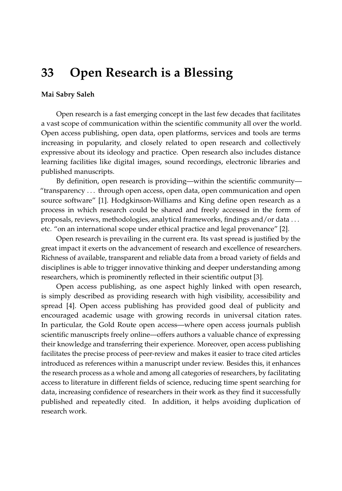## **33 Open Research is a Blessing**

## **Mai Sabry Saleh**

Open research is a fast emerging concept in the last few decades that facilitates a vast scope of communication within the scientific community all over the world. Open access publishing, open data, open platforms, services and tools are terms increasing in popularity, and closely related to open research and collectively expressive about its ideology and practice. Open research also includes distance learning facilities like digital images, sound recordings, electronic libraries and published manuscripts.

By definition, open research is providing—within the scientific community— "transparency . . . through open access, open data, open communication and open source software" [\[1\]](#page-2-0). Hodgkinson-Williams and King define open research as a process in which research could be shared and freely accessed in the form of proposals, reviews, methodologies, analytical frameworks, findings and/or data . . . etc. "on an international scope under ethical practice and legal provenance" [\[2\]](#page-2-1).

Open research is prevailing in the current era. Its vast spread is justified by the great impact it exerts on the advancement of research and excellence of researchers. Richness of available, transparent and reliable data from a broad variety of fields and disciplines is able to trigger innovative thinking and deeper understanding among researchers, which is prominently reflected in their scientific output [\[3\]](#page-2-2).

Open access publishing, as one aspect highly linked with open research, is simply described as providing research with high visibility, accessibility and spread [\[4\]](#page-2-3). Open access publishing has provided good deal of publicity and encouraged academic usage with growing records in universal citation rates. In particular, the Gold Route open access—where open access journals publish scientific manuscripts freely online—offers authors a valuable chance of expressing their knowledge and transferring their experience. Moreover, open access publishing facilitates the precise process of peer-review and makes it easier to trace cited articles introduced as references within a manuscript under review. Besides this, it enhances the research process as a whole and among all categories of researchers, by facilitating access to literature in different fields of science, reducing time spent searching for data, increasing confidence of researchers in their work as they find it successfully published and repeatedly cited. In addition, it helps avoiding duplication of research work.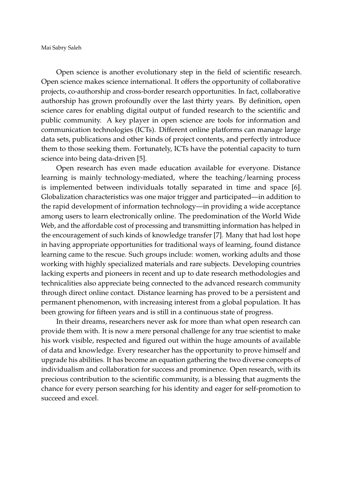Mai Sabry Saleh

Open science is another evolutionary step in the field of scientific research. Open science makes science international. It offers the opportunity of collaborative projects, co-authorship and cross-border research opportunities. In fact, collaborative authorship has grown profoundly over the last thirty years. By definition, open science cares for enabling digital output of funded research to the scientific and public community. A key player in open science are tools for information and communication technologies (ICTs). Different online platforms can manage large data sets, publications and other kinds of project contents, and perfectly introduce them to those seeking them. Fortunately, ICTs have the potential capacity to turn science into being data-driven [\[5\]](#page-2-4).

Open research has even made education available for everyone. Distance learning is mainly technology-mediated, where the teaching/learning process is implemented between individuals totally separated in time and space [\[6\]](#page-2-5). Globalization characteristics was one major trigger and participated—in addition to the rapid development of information technology—in providing a wide acceptance among users to learn electronically online. The predomination of the World Wide Web, and the affordable cost of processing and transmitting information has helped in the encouragement of such kinds of knowledge transfer [\[7\]](#page-2-6). Many that had lost hope in having appropriate opportunities for traditional ways of learning, found distance learning came to the rescue. Such groups include: women, working adults and those working with highly specialized materials and rare subjects. Developing countries lacking experts and pioneers in recent and up to date research methodologies and technicalities also appreciate being connected to the advanced research community through direct online contact. Distance learning has proved to be a persistent and permanent phenomenon, with increasing interest from a global population. It has been growing for fifteen years and is still in a continuous state of progress.

In their dreams, researchers never ask for more than what open research can provide them with. It is now a mere personal challenge for any true scientist to make his work visible, respected and figured out within the huge amounts of available of data and knowledge. Every researcher has the opportunity to prove himself and upgrade his abilities. It has become an equation gathering the two diverse concepts of individualism and collaboration for success and prominence. Open research, with its precious contribution to the scientific community, is a blessing that augments the chance for every person searching for his identity and eager for self-promotion to succeed and excel.